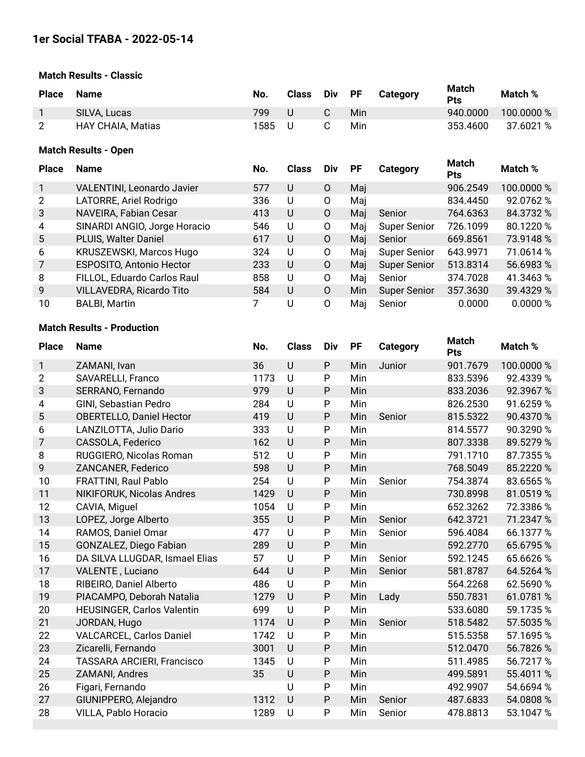## **Match Results - Classic**

| <b>Place</b>                | <b>Name</b>                       | No.  | <b>Class</b>   | Div    | <b>PF</b> | Category   | Match<br><b>Pts</b> | Match %    |  |  |  |
|-----------------------------|-----------------------------------|------|----------------|--------|-----------|------------|---------------------|------------|--|--|--|
| 1                           | SILVA, Lucas                      | 799  | U              | C      | Min       |            | 940.0000            | 100.0000 % |  |  |  |
| $\overline{2}$              | <b>HAY CHAIA, Matias</b>          | 1585 | U              | С      | Min       |            | 353.4600            | 37.6021 %  |  |  |  |
| <b>Match Results - Open</b> |                                   |      |                |        |           |            |                     |            |  |  |  |
| <b>Place</b>                | <b>Name</b>                       | No.  | <b>Class</b>   | Div    | <b>PF</b> | Category   | Match<br><b>Pts</b> | Match %    |  |  |  |
|                             | <b>VALENTINI, Leonardo Javier</b> | 577  | U              | 0      | Mai       |            | 906.2549            | 100.0000 % |  |  |  |
| 2                           | LATORRE, Ariel Rodrigo            | 336  | U              | 0      | Maj       |            | 834.4450            | 92.0762 %  |  |  |  |
| ົ                           | NAVEIDA Fobion Cooor              | 112  | $\blacksquare$ | $\cap$ |           | Mai Capiar | 761626              | 0A2700W    |  |  |  |

| 3              | NAVEIRA, Fabian Cesar           | 413 | U | 0        | Mai  | Senior              | 764.6363 | 84.3732 % |
|----------------|---------------------------------|-----|---|----------|------|---------------------|----------|-----------|
| $\overline{4}$ | SINARDI ANGIO, Jorge Horacio    | 546 | U | 0        | Mai  | <b>Super Senior</b> | 726.1099 | 80.1220 % |
| 5              | PLUIS, Walter Daniel            | 617 | U | O        | Mai  | Senior              | 669.8561 | 73.9148 % |
| 6              | <b>KRUSZEWSKI, Marcos Hugo</b>  | 324 | U | 0        | Mai  | <b>Super Senior</b> | 643.9971 | 71.0614 % |
| $7^{\circ}$    | ESPOSITO, Antonio Hector        | 233 | U | $\Omega$ | Mai  | <b>Super Senior</b> | 513.8314 | 56.6983 % |
| -8             | FILLOL, Eduardo Carlos Raul     | 858 | U | O        | Mai  | Senior              | 374.7028 | 41.3463 % |
| 9              | <b>VILLAVEDRA, Ricardo Tito</b> | 584 | U | $\Omega$ | Min. | <b>Super Senior</b> | 357.3630 | 39.4329 % |
| 10             | <b>BALBI, Martin</b>            |     | U | Ω        | Mai  | Senior              | 0.0000   | 0.0000 %  |

## **Match Results - Production**

| <b>Place</b>   |                                   | No.  | <b>Class</b> | Div          | <b>PF</b> |                 | <b>Match</b> | Match %    |
|----------------|-----------------------------------|------|--------------|--------------|-----------|-----------------|--------------|------------|
|                | <b>Name</b>                       |      |              |              |           | <b>Category</b> | Pts          |            |
| 1              | ZAMANI, Ivan                      | 36   | U            | ${\sf P}$    | Min       | Junior          | 901.7679     | 100.0000 % |
| $\overline{2}$ | <b>SAVARELLI, Franco</b>          | 1173 | U            | P            | Min       |                 | 833.5396     | 92.4339 %  |
| 3              | SERRANO, Fernando                 | 979  | $\cup$       | P            | Min       |                 | 833.2036     | 92.3967%   |
| $\overline{4}$ | GINI, Sebastian Pedro             | 284  | U            | $\mathsf{P}$ | Min       |                 | 826.2530     | 91.6259 %  |
| 5              | <b>OBERTELLO, Daniel Hector</b>   | 419  | $\cup$       | $\mathsf{P}$ | Min       | Senior          | 815.5322     | 90.4370 %  |
| 6              | LANZILOTTA, Julio Dario           | 333  | U            | P            | Min       |                 | 814.5577     | 90.3290 %  |
| $\overline{7}$ | CASSOLA, Federico                 | 162  | U            | P            | Min       |                 | 807.3338     | 89.5279 %  |
| 8              | RUGGIERO, Nicolas Roman           | 512  | U            | $\mathsf{P}$ | Min       |                 | 791.1710     | 87.7355%   |
| 9              | ZANCANER, Federico                | 598  | U            | $\mathsf{P}$ | Min       |                 | 768.5049     | 85.2220 %  |
| 10             | FRATTINI, Raul Pablo              | 254  | U            | $\mathsf{P}$ | Min       | Senior          | 754.3874     | 83.6565%   |
| 11             | NIKIFORUK, Nicolas Andres         | 1429 | U            | P            | Min       |                 | 730.8998     | 81.0519%   |
| 12             | CAVIA, Miguel                     | 1054 | U            | $\mathsf{P}$ | Min       |                 | 652.3262     | 72.3386 %  |
| 13             | LOPEZ, Jorge Alberto              | 355  | U            | $\mathsf{P}$ | Min       | Senior          | 642.3721     | 71.2347 %  |
| 14             | RAMOS, Daniel Omar                | 477  | U            | $\mathsf{P}$ | Min       | Senior          | 596.4084     | 66.1377 %  |
| 15             | GONZALEZ, Diego Fabian            | 289  | U            | $\mathsf{P}$ | Min       |                 | 592.2770     | 65.6795%   |
| 16             | DA SILVA LLUGDAR, Ismael Elias    | 57   | U            | $\mathsf{P}$ | Min       | Senior          | 592.1245     | 65.6626%   |
| 17             | <b>VALENTE, Luciano</b>           | 644  | U            | P            | Min       | Senior          | 581.8787     | 64.5264 %  |
| 18             | RIBEIRO, Daniel Alberto           | 486  | U            | $\mathsf{P}$ | Min       |                 | 564.2268     | 62.5690 %  |
| 19             | PIACAMPO, Deborah Natalia         | 1279 | U            | P            | Min       | Lady            | 550.7831     | 61.0781 %  |
| 20             | HEUSINGER, Carlos Valentin        | 699  | U            | P            | Min       |                 | 533.6080     | 59.1735 %  |
| 21             | JORDAN, Hugo                      | 1174 | $\cup$       | $\mathsf{P}$ | Min       | Senior          | 518.5482     | 57.5035 %  |
| 22             | <b>VALCARCEL, Carlos Daniel</b>   | 1742 | U            | $\mathsf{P}$ | Min       |                 | 515.5358     | 57.1695%   |
| 23             | Zicarelli, Fernando               | 3001 | $\cup$       | P            | Min       |                 | 512.0470     | 56.7826 %  |
| 24             | <b>TASSARA ARCIERI, Francisco</b> | 1345 | U            | P            | Min       |                 | 511.4985     | 56.7217%   |
| 25             | ZAMANI, Andres                    | 35   | $\cup$       | $\mathsf{P}$ | Min       |                 | 499.5891     | 55.4011 %  |
| 26             | Figari, Fernando                  |      | U            | P            | Min       |                 | 492.9907     | 54.6694 %  |
| 27             | GIUNIPPERO, Alejandro             | 1312 | U            | $\mathsf{P}$ | Min       | Senior          | 487.6833     | 54.0808 %  |
| 28             | VILLA, Pablo Horacio              | 1289 | U            | P            | Min       | Senior          | 478.8813     | 53.1047 %  |
|                |                                   |      |              |              |           |                 |              |            |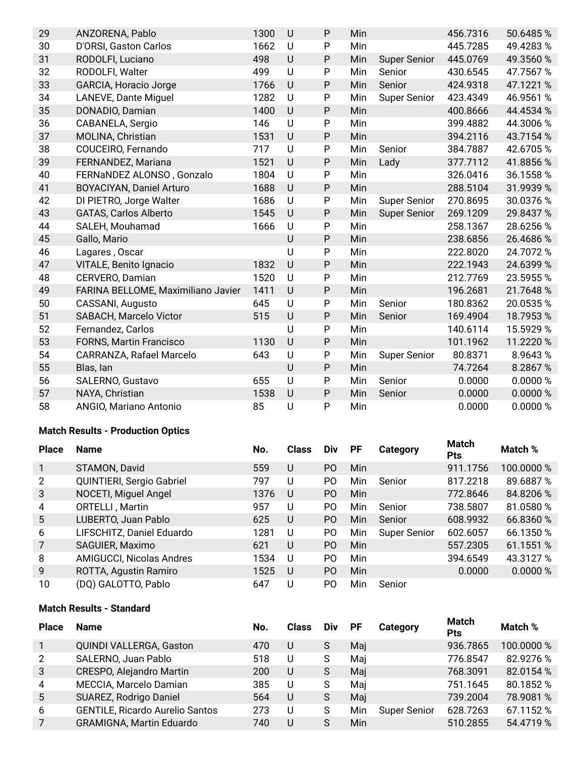| 29 | ANZORENA, Pablo                    | 1300 | U       | $\mathsf{P}$ | Min |                     | 456.7316 | 50.6485%  |
|----|------------------------------------|------|---------|--------------|-----|---------------------|----------|-----------|
| 30 | D'ORSI, Gaston Carlos              | 1662 | U       | P            | Min |                     | 445.7285 | 49.4283%  |
| 31 | RODOLFI, Luciano                   | 498  | U       | ${\sf P}$    | Min | <b>Super Senior</b> | 445.0769 | 49.3560 % |
| 32 | RODOLFI, Walter                    | 499  | U       | P            | Min | Senior              | 430.6545 | 47.7567%  |
| 33 | <b>GARCIA, Horacio Jorge</b>       | 1766 | U       | ${\sf P}$    | Min | Senior              | 424.9318 | 47.1221 % |
| 34 | LANEVE, Dante Miguel               | 1282 | U       | P            | Min | <b>Super Senior</b> | 423.4349 | 46.9561 % |
| 35 | DONADIO, Damian                    | 1400 | U       | $\mathsf{P}$ | Min |                     | 400.8666 | 44.4534 % |
| 36 | CABANELA, Sergio                   | 146  | U       | $\mathsf{P}$ | Min |                     | 399.4882 | 44.3006 % |
| 37 | MOLINA, Christian                  | 1531 | U       | ${\sf P}$    | Min |                     | 394.2116 | 43.7154 % |
| 38 | COUCEIRO, Fernando                 | 717  | U       | $\mathsf{P}$ | Min | Senior              | 384.7887 | 42.6705%  |
| 39 | FERNANDEZ, Mariana                 | 1521 | U       | ${\sf P}$    | Min | Lady                | 377.7112 | 41.8856 % |
| 40 | FERNaNDEZ ALONSO, Gonzalo          | 1804 | U       | $\mathsf{P}$ | Min |                     | 326.0416 | 36.1558 % |
| 41 | <b>BOYACIYAN, Daniel Arturo</b>    | 1688 | U       | ${\sf P}$    | Min |                     | 288.5104 | 31.9939 % |
| 42 | DI PIETRO, Jorge Walter            | 1686 | U       | ${\sf P}$    | Min | <b>Super Senior</b> | 270.8695 | 30.0376 % |
| 43 | <b>GATAS, Carlos Alberto</b>       | 1545 | U       | ${\sf P}$    | Min | <b>Super Senior</b> | 269.1209 | 29.8437 % |
| 44 | SALEH, Mouhamad                    | 1666 | U       | ${\sf P}$    | Min |                     | 258.1367 | 28.6256 % |
| 45 | Gallo, Mario                       |      | U       | P            | Min |                     | 238.6856 | 26.4686 % |
| 46 | Lagares, Oscar                     |      | U       | $\mathsf{P}$ | Min |                     | 222.8020 | 24.7072 % |
| 47 | VITALE, Benito Ignacio             | 1832 | $\sf U$ | ${\sf P}$    | Min |                     | 222.1943 | 24.6399 % |
| 48 | CERVERO, Damian                    | 1520 | U       | ${\sf P}$    | Min |                     | 212.7769 | 23.5955 % |
| 49 | FARINA BELLOME, Maximiliano Javier | 1411 | $\cup$  | P            | Min |                     | 196.2681 | 21.7648 % |
| 50 | CASSANI, Augusto                   | 645  | U       | $\mathsf{P}$ | Min | Senior              | 180.8362 | 20.0535%  |
| 51 | SABACH, Marcelo Victor             | 515  | U       | P            | Min | Senior              | 169.4904 | 18.7953 % |
| 52 | Fernandez, Carlos                  |      | U       | $\mathsf{P}$ | Min |                     | 140.6114 | 15.5929 % |
| 53 | <b>FORNS, Martin Francisco</b>     | 1130 | $\cup$  | P            | Min |                     | 101.1962 | 11.2220 % |
| 54 | CARRANZA, Rafael Marcelo           | 643  | U       | P            | Min | <b>Super Senior</b> | 80.8371  | 8.9643%   |
| 55 | Blas, Ian                          |      | U       | P            | Min |                     | 74.7264  | 8.2867 %  |
| 56 | SALERNO, Gustavo                   | 655  | U       | $\mathsf{P}$ | Min | Senior              | 0.0000   | 0.0000%   |
| 57 | NAYA, Christian                    | 1538 | $\cup$  | P            | Min | Senior              | 0.0000   | 0.0000%   |
| 58 | ANGIO, Mariano Antonio             | 85   | U       | P            | Min |                     | 0.0000   | 0.0000%   |

## **Match Results - Production Optics**

| <b>Place</b>   | <b>Name</b>                     | No.  | <b>Class</b> | Div            | <b>PF</b> | Category            | Match<br><b>Pts</b> | Match %    |
|----------------|---------------------------------|------|--------------|----------------|-----------|---------------------|---------------------|------------|
|                | STAMON, David                   | 559  | U            | P <sub>O</sub> | Min       |                     | 911.1756            | 100.0000 % |
| 2              | QUINTIERI, Sergio Gabriel       | 797  | U            | P <sub>O</sub> | Min       | Senior              | 817.2218            | 89.6887 %  |
| 3              | NOCETI, Miguel Angel            | 1376 | U            | P <sub>O</sub> | Min       |                     | 772.8646            | 84.8206 %  |
| 4              | <b>ORTELLI, Martin</b>          | 957  | U            | P <sub>O</sub> | Min       | Senior              | 738.5807            | 81.0580 %  |
| 5              | LUBERTO, Juan Pablo             | 625  | U            | P <sub>O</sub> | Min       | Senior              | 608.9932            | 66.8360 %  |
| 6              | LIFSCHITZ, Daniel Eduardo       | 1281 | U            | PO.            | Min       | <b>Super Senior</b> | 602.6057            | 66.1350 %  |
| $\overline{7}$ | SAGUIER, Maximo                 | 621  | U            | P <sub>O</sub> | Min       |                     | 557.2305            | 61.1551 %  |
| 8              | <b>AMIGUCCI, Nicolas Andres</b> | 1534 | U            | P <sub>O</sub> | Min       |                     | 394.6549            | 43.3127 %  |
| 9              | ROTTA, Agustin Ramiro           | 1525 | U            | P <sub>O</sub> | Min       |                     | 0.0000              | 0.0000 %   |
| 10             | (DQ) GALOTTO, Pablo             | 647  | U            | P0             | Min       | Senior              |                     |            |

## **Match Results - Standard**

| <b>Place</b> | <b>Name</b>                            | No. | <b>Class</b> | <b>Div</b> | <b>PF</b> | Category            | Match<br><b>Pts</b> | Match %    |
|--------------|----------------------------------------|-----|--------------|------------|-----------|---------------------|---------------------|------------|
|              | QUINDI VALLERGA, Gaston                | 470 | U            | S          | Maj       |                     | 936.7865            | 100.0000 % |
| 2            | SALERNO, Juan Pablo                    | 518 | U            | S          | Mai       |                     | 776.8547            | 82.9276 %  |
| 3            | CRESPO, Alejandro Martin               | 200 | U            | S          | Maj       |                     | 768.3091            | 82.0154 %  |
| 4            | MECCIA, Marcelo Damian                 | 385 | U            | S          | Mai       |                     | 751.1645            | 80.1852 %  |
| 5            | SUAREZ, Rodrigo Daniel                 | 564 | U            | S          | Mai       |                     | 739.2004            | 78.9081 %  |
| 6            | <b>GENTILE, Ricardo Aurelio Santos</b> | 273 | U            | S          | Min       | <b>Super Senior</b> | 628.7263            | 67.1152 %  |
|              | <b>GRAMIGNA, Martin Eduardo</b>        | 740 | U            | S          | Min       |                     | 510.2855            | 54.4719 %  |
|              |                                        |     |              |            |           |                     |                     |            |